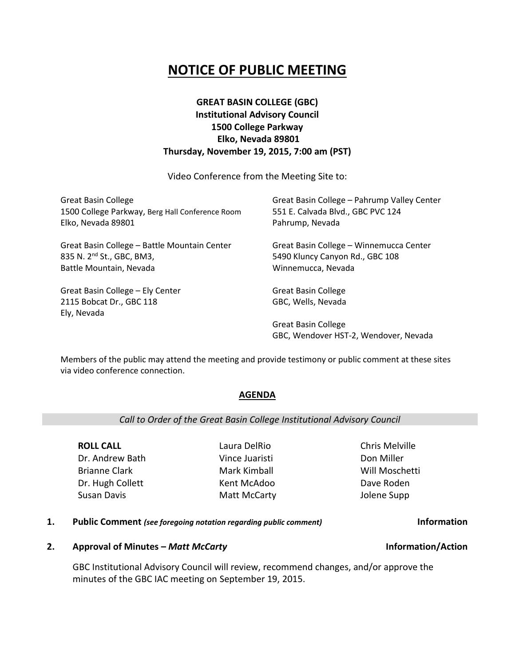# **NOTICE OF PUBLIC MEETING**

## **GREAT BASIN COLLEGE (GBC) Institutional Advisory Council 1500 College Parkway Elko, Nevada 89801 Thursday, November 19, 2015, 7:00 am (PST)**

Video Conference from the Meeting Site to:

| <b>Great Basin College</b><br>1500 College Parkway, Berg Hall Conference Room<br>Elko, Nevada 89801 | Great Basin College - Pahrump Valley Center<br>551 E. Calvada Blvd., GBC PVC 124<br>Pahrump, Nevada |
|-----------------------------------------------------------------------------------------------------|-----------------------------------------------------------------------------------------------------|
| Great Basin College - Battle Mountain Center<br>835 N. 2 <sup>nd</sup> St., GBC, BM3,               | Great Basin College - Winnemucca Center<br>5490 Kluncy Canyon Rd., GBC 108                          |
| Battle Mountain, Nevada                                                                             | Winnemucca, Nevada                                                                                  |
| Great Basin College - Ely Center                                                                    | <b>Great Basin College</b>                                                                          |
| 2115 Bobcat Dr., GBC 118<br>Ely, Nevada                                                             | GBC, Wells, Nevada                                                                                  |
|                                                                                                     | <b>Great Basin College</b><br>GBC, Wendover HST-2, Wendover, Nevada                                 |

Members of the public may attend the meeting and provide testimony or public comment at these sites via video conference connection.

### **AGENDA**

### *Call to Order of the Great Basin College Institutional Advisory Council*

**ROLL CALL** Dr. Andrew Bath Brianne Clark Dr. Hugh Collett Susan Davis

Laura DelRio Vince Juaristi Mark Kimball Kent McAdoo Matt McCarty Chris Melville Don Miller Will Moschetti Dave Roden Jolene Supp

#### **1. Public Comment** *(see foregoing notation regarding public comment)* **Information**

#### **2. Approval of Minutes –** *Matt McCarty* **Information/Action**

GBC Institutional Advisory Council will review, recommend changes, and/or approve the minutes of the GBC IAC meeting on September 19, 2015.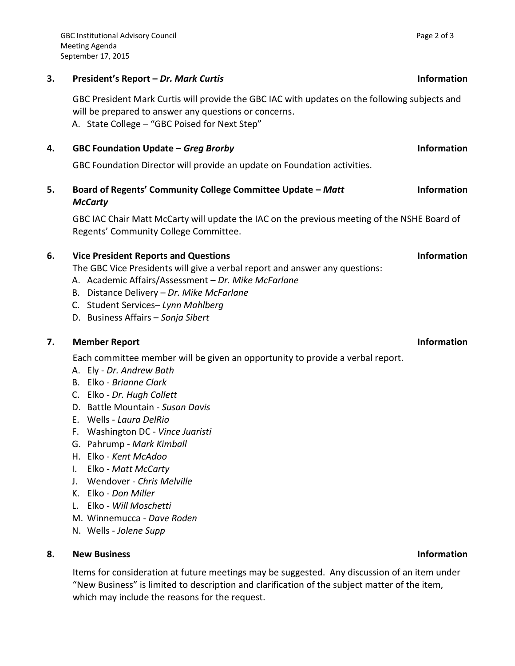### **3. President's Report –** *Dr. Mark Curtis* **Information**

GBC President Mark Curtis will provide the GBC IAC with updates on the following subjects and will be prepared to answer any questions or concerns. A. State College – "GBC Poised for Next Step"

### **4. GBC Foundation Update –** *Greg Brorby* **Information**

GBC Foundation Director will provide an update on Foundation activities.

**5. Board of Regents' Community College Committee Update –** *Matt McCarty*

GBC IAC Chair Matt McCarty will update the IAC on the previous meeting of the NSHE Board of Regents' Community College Committee.

### **6. Vice President Reports and Questions Information**

The GBC Vice Presidents will give a verbal report and answer any questions:

- A. Academic Affairs/Assessment *Dr. Mike McFarlane*
- B. Distance Delivery *Dr. Mike McFarlane*
- C. Student Services– *Lynn Mahlberg*
- D. Business Affairs *Sonja Sibert*

#### **7. Member Report Information**

Each committee member will be given an opportunity to provide a verbal report.

- A. Ely *Dr. Andrew Bath*
- B. Elko *Brianne Clark*
- C. Elko *Dr. Hugh Collett*
- D. Battle Mountain *Susan Davis*
- E. Wells *Laura DelRio*
- F. Washington DC *Vince Juaristi*
- G. Pahrump *Mark Kimball*
- H. Elko *Kent McAdoo*
- I. Elko *Matt McCarty*
- J. Wendover *Chris Melville*
- K. Elko *Don Miller*
- L. Elko *Will Moschetti*
- M. Winnemucca *Dave Roden*
- N. Wells *Jolene Supp*

### **8. New Business Information**

Items for consideration at future meetings may be suggested. Any discussion of an item under "New Business" is limited to description and clarification of the subject matter of the item, which may include the reasons for the request.

### **Information**